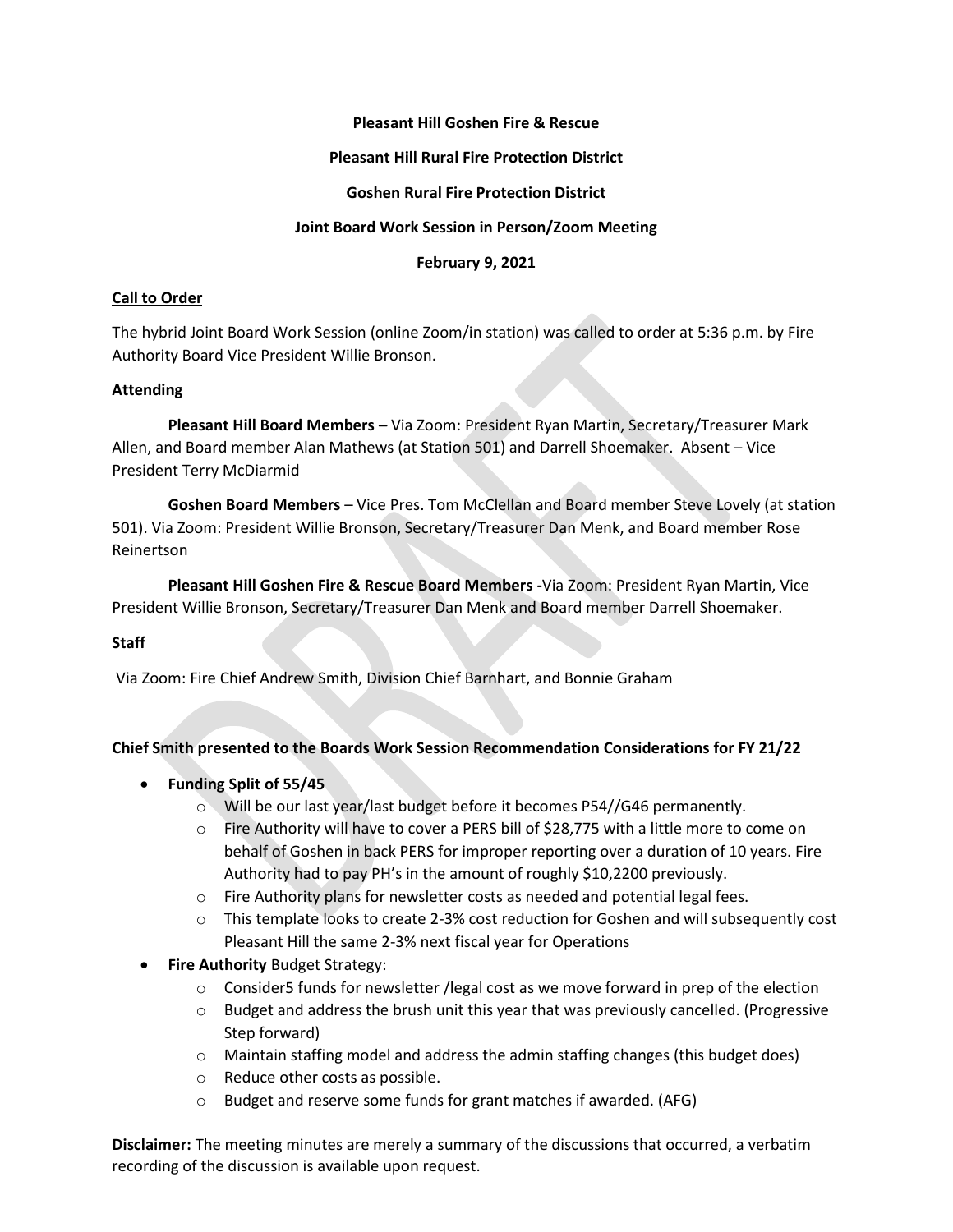### **Pleasant Hill Goshen Fire & Rescue**

### **Pleasant Hill Rural Fire Protection District**

## **Goshen Rural Fire Protection District**

## **Joint Board Work Session in Person/Zoom Meeting**

### **February 9, 2021**

## **Call to Order**

The hybrid Joint Board Work Session (online Zoom/in station) was called to order at 5:36 p.m. by Fire Authority Board Vice President Willie Bronson.

## **Attending**

**Pleasant Hill Board Members –** Via Zoom: President Ryan Martin, Secretary/Treasurer Mark Allen, and Board member Alan Mathews (at Station 501) and Darrell Shoemaker. Absent – Vice President Terry McDiarmid

**Goshen Board Members** – Vice Pres. Tom McClellan and Board member Steve Lovely (at station 501). Via Zoom: President Willie Bronson, Secretary/Treasurer Dan Menk, and Board member Rose Reinertson

**Pleasant Hill Goshen Fire & Rescue Board Members -**Via Zoom: President Ryan Martin, Vice President Willie Bronson, Secretary/Treasurer Dan Menk and Board member Darrell Shoemaker.

# **Staff**

Via Zoom: Fire Chief Andrew Smith, Division Chief Barnhart, and Bonnie Graham

#### **Chief Smith presented to the Boards Work Session Recommendation Considerations for FY 21/22**

- **Funding Split of 55/45**
	- $\circ$  Will be our last year/last budget before it becomes P54//G46 permanently.
	- o Fire Authority will have to cover a PERS bill of \$28,775 with a little more to come on behalf of Goshen in back PERS for improper reporting over a duration of 10 years. Fire Authority had to pay PH's in the amount of roughly \$10,2200 previously.
	- o Fire Authority plans for newsletter costs as needed and potential legal fees.
	- o This template looks to create 2-3% cost reduction for Goshen and will subsequently cost Pleasant Hill the same 2-3% next fiscal year for Operations
- **Fire Authority** Budget Strategy:
	- $\circ$  Consider5 funds for newsletter /legal cost as we move forward in prep of the election
	- $\circ$  Budget and address the brush unit this year that was previously cancelled. (Progressive Step forward)
	- $\circ$  Maintain staffing model and address the admin staffing changes (this budget does)
	- o Reduce other costs as possible.
	- o Budget and reserve some funds for grant matches if awarded. (AFG)

**Disclaimer:** The meeting minutes are merely a summary of the discussions that occurred, a verbatim recording of the discussion is available upon request.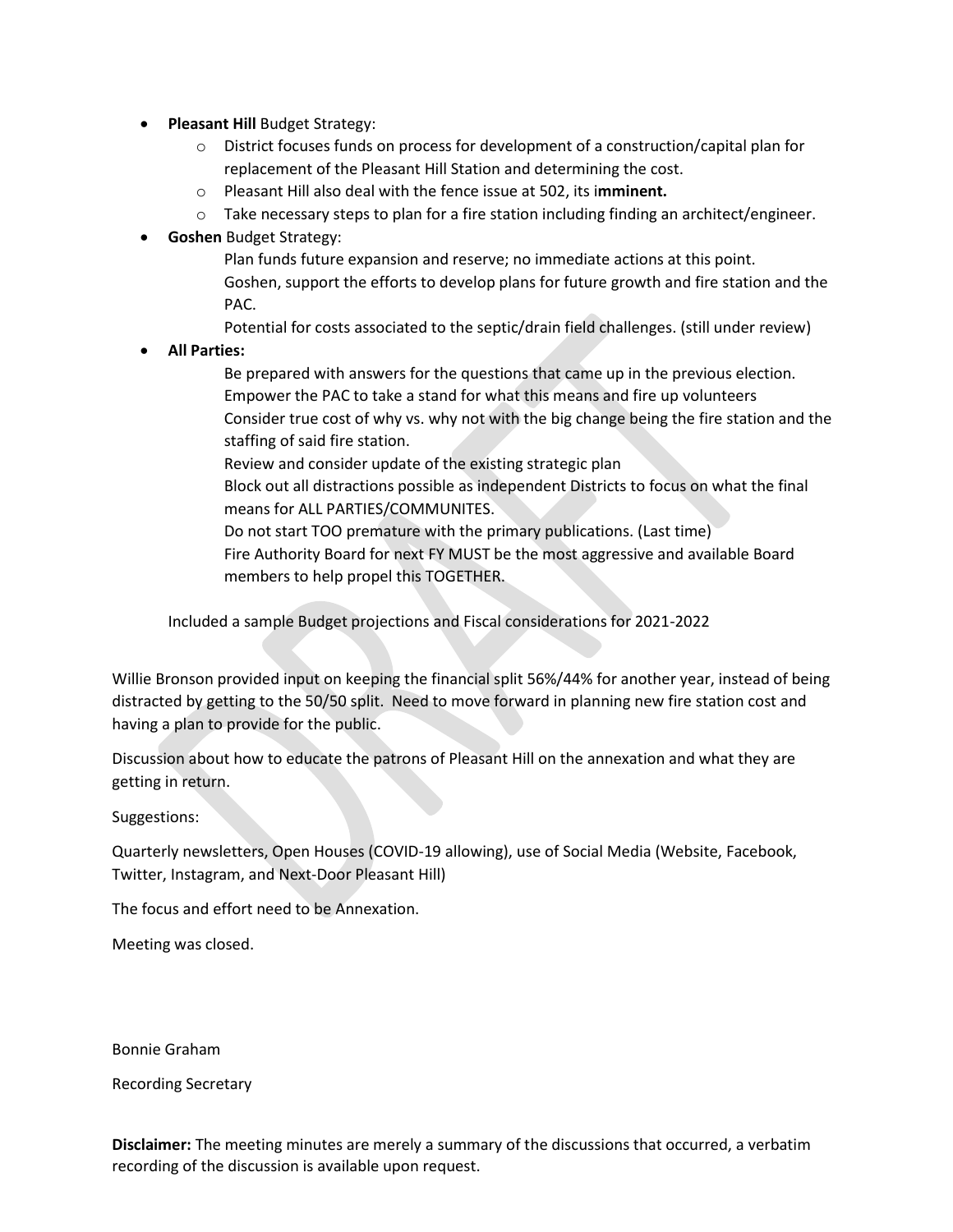- **Pleasant Hill** Budget Strategy:
	- o District focuses funds on process for development of a construction/capital plan for replacement of the Pleasant Hill Station and determining the cost.
	- o Pleasant Hill also deal with the fence issue at 502, its i**mminent.**
	- o Take necessary steps to plan for a fire station including finding an architect/engineer.
- **Goshen** Budget Strategy:
	- Plan funds future expansion and reserve; no immediate actions at this point. Goshen, support the efforts to develop plans for future growth and fire station and the PAC.

Potential for costs associated to the septic/drain field challenges. (still under review)

• **All Parties:**

- Be prepared with answers for the questions that came up in the previous election. Empower the PAC to take a stand for what this means and fire up volunteers Consider true cost of why vs. why not with the big change being the fire station and the staffing of said fire station.
- Review and consider update of the existing strategic plan
- Block out all distractions possible as independent Districts to focus on what the final means for ALL PARTIES/COMMUNITES.
- Do not start TOO premature with the primary publications. (Last time)
- Fire Authority Board for next FY MUST be the most aggressive and available Board members to help propel this TOGETHER.

Included a sample Budget projections and Fiscal considerations for 2021-2022

Willie Bronson provided input on keeping the financial split 56%/44% for another year, instead of being distracted by getting to the 50/50 split. Need to move forward in planning new fire station cost and having a plan to provide for the public.

Discussion about how to educate the patrons of Pleasant Hill on the annexation and what they are getting in return.

Suggestions:

Quarterly newsletters, Open Houses (COVID-19 allowing), use of Social Media (Website, Facebook, Twitter, Instagram, and Next-Door Pleasant Hill)

The focus and effort need to be Annexation.

Meeting was closed.

Bonnie Graham

Recording Secretary

**Disclaimer:** The meeting minutes are merely a summary of the discussions that occurred, a verbatim recording of the discussion is available upon request.